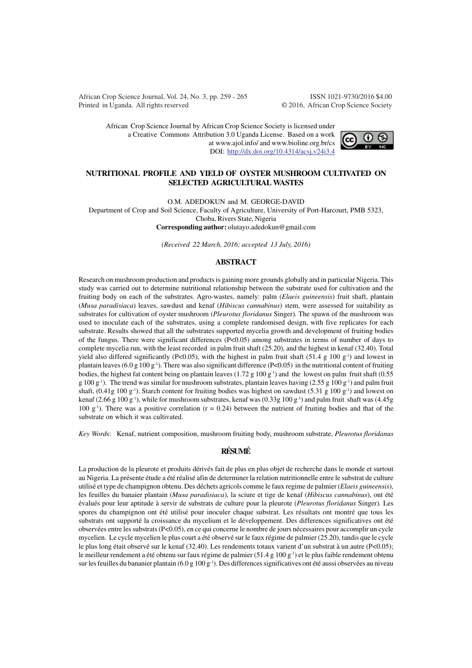African Crop Science Journal, Vol. 24, No. 3, pp. 259 - 265 ISSN 1021-9730/2016 \$4.00 Printed in Uganda. All rights reserved © 2016, African Crop Science Society

African Crop Science Journal by African Crop Science Society is licensed under a Creative Commons Attribution 3.0 Uganda License. Based on a work at www.ajol.info/ and www.bioline.org.br/cs DOI: http://dx.doi.org/10.4314/acsj.v24i3.4



## **NUTRITIONAL PROFILE AND YIELD OF OYSTER MUSHROOM CULTIVATED ON SELECTED AGRICULTURAL WASTES**

O.M. ADEDOKUN and M. GEORGE-DAVID

Department of Crop and Soil Science, Faculty of Agriculture, University of Port-Harcourt, PMB 5323, Choba, Rivers State, Nigeria **Corresponding author:** olutayo.adedokun@gmail.com

*(Received 22 March, 2016; accepted 13 July, 2016)*

#### **ABSTRACT**

Research on mushroom production and products is gaining more grounds globally and in particular Nigeria. This study was carried out to determine nutritional relationship between the substrate used for cultivation and the fruiting body on each of the substrates. Agro-wastes, namely: palm (*Elaeis guineensis*) fruit shaft, plantain (*Musa paradisiaca*) leaves, sawdust and kenaf (*Hibiscus cannabinus*) stem, were assessed for suitability as substrates for cultivation of oyster mushroom (*Pleurotus floridanus* Singer)*.* The spawn of the mushroom was used to inoculate each of the substrates, using a complete randomised design, with five replicates for each substrate. Results showed that all the substrates supported mycelia growth and development of fruiting bodies of the fungus. There were significant differences (P<0.05) among substrates in terms of number of days to complete mycelia run, with the least recorded in palm fruit shaft (25.20), and the highest in kenaf (32.40). Total yield also differed significantly (P<0.05), with the highest in palm fruit shaft (51.4 g 100 g<sup>-1</sup>) and lowest in plantain leaves (6.0 g 100 g<sup>-1</sup>). There was also significant difference (P<0.05) in the nutritional content of fruiting bodies, the highest fat content being on plantain leaves (1.72 g 100 g<sup>-1</sup>) and the lowest on palm fruit shaft (0.55 g 100 g<sup>-1</sup>). The trend was similar for mushroom substrates, plantain leaves having (2.55 g 100 g<sup>-1</sup>) and palm fruit shaft,  $(0.41g 100 g<sup>-1</sup>)$ . Starch content for fruiting bodies was highest on sawdust (5.31 g 100 g<sup>-1</sup>) and lowest on kenaf (2.66 g 100 g<sup>-1</sup>), while for mushroom substrates, kenaf was (0.33g 100 g<sup>-1</sup>) and palm fruit shaft was (4.45g 100 g<sup>-1</sup>). There was a positive correlation ( $r = 0.24$ ) between the nutrient of fruiting bodies and that of the substrate on which it was cultivated.

*Key Word*s: Kenaf, nutrient composition, mushroom fruiting body, mushroom substrate, *Pleurotus floridanus*

# **RÉSUMÉ**

La production de la pleurote et produits dérivés fait de plus en plus objet de recherche dans le monde et surtout au Nigeria. La présente étude a été réalisé afin de determiner la relation nutritionnelle entre le substrat de culture utilisé et type de champignon obtenu. Des déchets agricols comme le faux regime de palmier (*Elaeis guineensis*), les feuilles du banaier plantain (*Musa paradisiaca*), la sciure et tige de kenaf (*Hibiscus cannabinus*), ont été évalués pour leur aptitude à servir de substrats de culture pour la pleurote (*Pleurotus floridanus* Singer)*.* Les spores du champignon ont été utilisé pour inoculer chaque substrat. Les résultats ont montré que tous les substrats ont supporté la croissance du mycelium et le développement. Des differences significatives ont été observées entre les substrats (P<0.05), en ce qui concerne le nombre de jours nécessaires pour accomplir un cycle mycelien. Le cycle mycelien le plus court a été observé sur le faux régime de palmier (25.20), tandis que le cycle le plus long était observé sur le kenaf (32.40). Les rendements totaux varient d'un substrat à un autre (P<0.05); le meilleur rendement a été obtenu sur faux régime de palmier (51.4 g 100 g<sup>-1</sup>) et le plus faible rendement obtenu sur les feuilles du bananier plantain  $(6.0 g 100 g^{-1})$ . Des differences significatives ont été aussi observées au niveau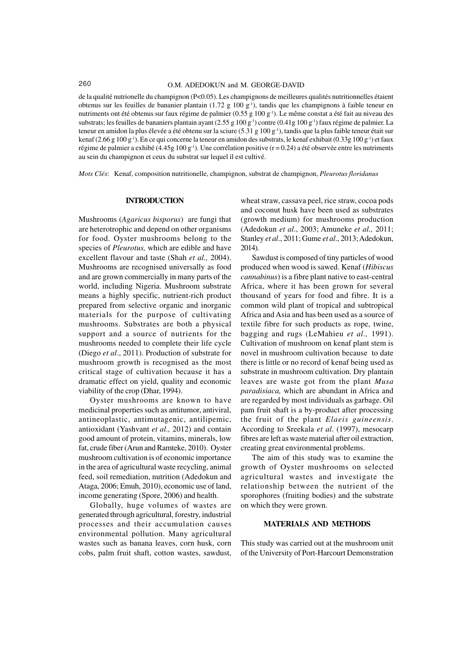de la qualité nutrionelle du champignon (P<0.05). Les champignons de meilleures qualités nutritionnelles étaient obtenus sur les feuilles de bananier plantain (1.72 g 100 g<sup>-1</sup>), tandis que les champignons à faible teneur en nutriments ont été obtenus sur faux régime de palmier (0.55 g 100 g<sup>-1</sup>). Le même constat a été fait au niveau des substrats; les feuilles de bananiers plantain ayant (2.55 g 100 g<sup>-1</sup>) contre (0.41g 100 g<sup>-1</sup>) faux régime de palmier. La teneur en amidon la plus élevée a été obtenu sur la sciure (5.31 g 100 g<sup>-1</sup>), tandis que la plus faible teneur était sur kenaf (2.66 g 100 g<sup>-1</sup>). En ce qui concerne la teneur en amidon des substrats, le kenaf exhibait (0.33g 100 g<sup>-1</sup>) et faux régime de palmier a exhibé (4.45g 100 g<sup>-1</sup>). Une corrélation positive (r = 0.24) a été observée entre les nutriments au sein du champignon et ceux du substrat sur lequel il est cultivé.

*Mots Clés*: Kenaf, composition nutritionelle, champignon, substrat de champignon, *Pleurotus floridanus*

#### **INTRODUCTION**

Mushrooms (*Agaricus bisporus*) are fungi that are heterotrophic and depend on other organisms for food. Oyster mushrooms belong to the species of *Pleurotus,* which are edible and have excellent flavour and taste (Shah *et al.,* 2004). Mushrooms are recognised universally as food and are grown commercially in many parts of the world, including Nigeria. Mushroom substrate means a highly specific, nutrient-rich product prepared from selective organic and inorganic materials for the purpose of cultivating mushrooms. Substrates are both a physical support and a source of nutrients for the mushrooms needed to complete their life cycle (Diego *et al*., 2011). Production of substrate for mushroom growth is recognised as the most critical stage of cultivation because it has a dramatic effect on yield, quality and economic viability of the crop (Dhar, 1994).

Oyster mushrooms are known to have medicinal properties such as antitumor, antiviral, antineoplastic, antimutagenic, antilipemic, antioxidant (Yashvant *et al.,* 2012) and contain good amount of protein, vitamins, minerals, low fat, crude fiber (Arun and Ramteke, 2010). Oyster mushroom cultivation is of economic importance in the area of agricultural waste recycling, animal feed, soil remediation, nutrition (Adedokun and Ataga, 2006; Emuh, 2010), economic use of land, income generating (Spore, 2006) and health.

Globally, huge volumes of wastes are generated through agricultural, forestry, industrial processes and their accumulation causes environmental pollution. Many agricultural wastes such as banana leaves, corn husk, corn cobs, palm fruit shaft, cotton wastes, sawdust,

wheat straw, cassava peel, rice straw, cocoa pods and coconut husk have been used as substrates (growth medium) for mushrooms production (Adedokun *et al*., 2003; Amuneke *et al.,* 2011; Stanley *et al*., 2011; Gume *et al*., 2013; Adedokun, 2014).

Sawdust is composed of tiny particles of wood produced when wood is sawed. Kenaf (*Hibiscus cannabinus*) is a fibre plant native to east-central Africa, where it has been grown for several thousand of years for food and fibre. It is a common wild plant of tropical and subtropical Africa and Asia and has been used as a source of textile fibre for such products as rope, twine, bagging and rugs (LeMahieu *et al.,* 1991). Cultivation of mushroom on kenaf plant stem is novel in mushroom cultivation because to date there is little or no record of kenaf being used as substrate in mushroom cultivation. Dry plantain leaves are waste got from the plant *Musa paradisiaca,* which are abundant in Africa and are regarded by most individuals as garbage. Oil pam fruit shaft is a by-product after processing the fruit of the plant *Elaeis guineensis*. According to Sreekala *et al*. (1997), mesocarp fibres are left as waste material after oil extraction, creating great environmental problems.

The aim of this study was to examine the growth of Oyster mushrooms on selected agricultural wastes and investigate the relationship between the nutrient of the sporophores (fruiting bodies) and the substrate on which they were grown.

## **MATERIALS AND METHODS**

This study was carried out at the mushroom unit of the University of Port-Harcourt Demonstration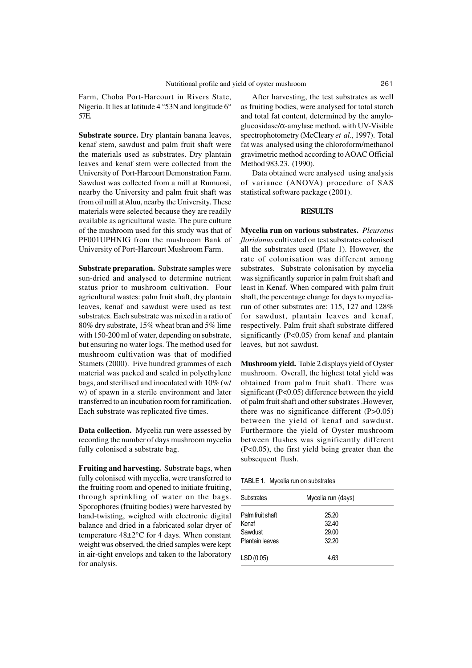Farm, Choba Port-Harcourt in Rivers State, Nigeria. It lies at latitude 4 °53N and longitude 6° 57E.

**Substrate source.** Dry plantain banana leaves, kenaf stem, sawdust and palm fruit shaft were the materials used as substrates. Dry plantain leaves and kenaf stem were collected from the University of Port-Harcourt Demonstration Farm. Sawdust was collected from a mill at Rumuosi, nearby the University and palm fruit shaft was from oil mill at Aluu, nearby the University. These materials were selected because they are readily available as agricultural waste. The pure culture of the mushroom used for this study was that of PF001UPHNIG from the mushroom Bank of University of Port-Harcourt Mushroom Farm.

**Substrate preparation.** Substrate samples were sun-dried and analysed to determine nutrient status prior to mushroom cultivation. Four agricultural wastes: palm fruit shaft, dry plantain leaves, kenaf and sawdust were used as test substrates. Each substrate was mixed in a ratio of 80% dry substrate, 15% wheat bran and 5% lime with 150-200 ml of water, depending on substrate, but ensuring no water logs. The method used for mushroom cultivation was that of modified Stamets (2000). Five hundred grammes of each material was packed and sealed in polyethylene bags, and sterilised and inoculated with 10% (w/ w) of spawn in a sterile environment and later transferred to an incubation room for ramification. Each substrate was replicated five times.

**Data collection.** Mycelia run were assessed by recording the number of days mushroom mycelia fully colonised a substrate bag.

**Fruiting and harvesting.** Substrate bags, when fully colonised with mycelia, were transferred to the fruiting room and opened to initiate fruiting, through sprinkling of water on the bags. Sporophores (fruiting bodies) were harvested by hand-twisting, weighed with electronic digital balance and dried in a fabricated solar dryer of temperature 48±2°C for 4 days. When constant weight was observed, the dried samples were kept in air-tight envelops and taken to the laboratory for analysis.

After harvesting, the test substrates as well as fruiting bodies, were analysed for total starch and total fat content, determined by the amyloglucosidase/α-amylase method, with UV-Visible spectrophotometry (McCleary *et al.*, 1997). Total fat was analysed using the chloroform/methanol gravimetric method according to AOAC Official Method 983.23. (1990).

Data obtained were analysed using analysis of variance (ANOVA) procedure of SAS statistical software package (2001).

### **RESULTS**

**Mycelia run on various substrates.** *Pleurotus floridanus* cultivated on test substrates colonised all the substrates used (Plate 1). However, the rate of colonisation was different among substrates. Substrate colonisation by mycelia was significantly superior in palm fruit shaft and least in Kenaf. When compared with palm fruit shaft, the percentage change for days to myceliarun of other substrates are: 115, 127 and 128% for sawdust, plantain leaves and kenaf, respectively. Palm fruit shaft substrate differed significantly (P<0.05) from kenaf and plantain leaves, but not sawdust.

**Mushroom yield.** Table 2 displays yield of Oyster mushroom. Overall, the highest total yield was obtained from palm fruit shaft. There was significant (P<0.05) difference between the yield of palm fruit shaft and other substrates .However, there was no significance different (P>0.05) between the yield of kenaf and sawdust. Furthermore the yield of Oyster mushroom between flushes was significantly different (P<0.05), the first yield being greater than the subsequent flush.

TABLE 1. Mycelia run on substrates

| <b>Substrates</b> | Mycelia run (days) |  |
|-------------------|--------------------|--|
| Palm fruit shaft  | 25.20              |  |
| Kenaf             | 32.40              |  |
| Sawdust           | 29.00              |  |
| Plantain leaves   | 32.20              |  |
| LSD (0.05)        | 4.63               |  |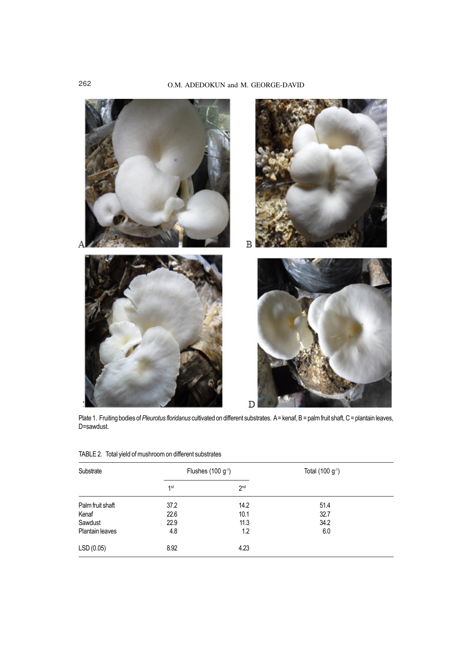

Plate 1. Fruiting bodies of *Pleurotus floridanus* cultivated on different substrates. A= kenaf, B= palm fruit shaft, C= plantain leaves, D=sawdust.

| Substrate        | Flushes (100 g <sup>-1</sup> ) |                 | Total $(100 g^{-1})$ |  |
|------------------|--------------------------------|-----------------|----------------------|--|
|                  | 1 <sup>st</sup>                | 2 <sub>nd</sub> |                      |  |
| Palm fruit shaft | 37.2                           | 14.2            | 51.4                 |  |
| Kenaf            | 22.6                           | 10.1            | 32.7                 |  |
| Sawdust          | 22.9                           | 11.3            | 34.2                 |  |
| Plantain leaves  | 4.8                            | 1.2             | 6.0                  |  |
| LSD (0.05)       | 8.92                           | 4.23            |                      |  |

TABLE 2. Total yield of mushroom on different substrates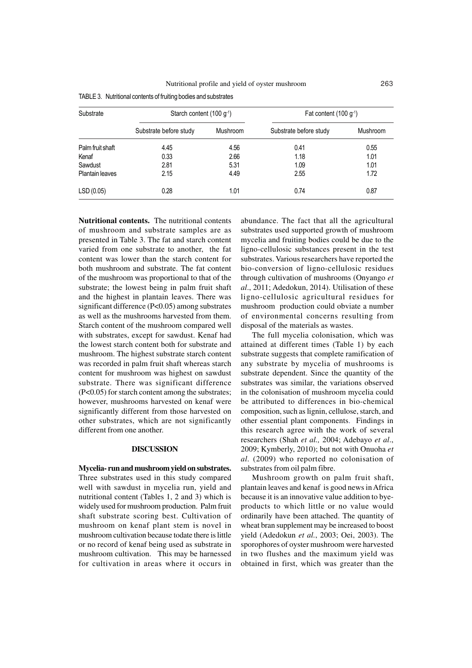| Substrate        | Starch content (100 g <sup>-1</sup> ) |          | Fat content $(100 g-1)$ |          |
|------------------|---------------------------------------|----------|-------------------------|----------|
|                  | Substrate before study                | Mushroom | Substrate before study  | Mushroom |
| Palm fruit shaft | 4.45                                  | 4.56     | 0.41                    | 0.55     |
| Kenaf            | 0.33                                  | 2.66     | 1.18                    | 1.01     |
| Sawdust          | 2.81                                  | 5.31     | 1.09                    | 1.01     |
| Plantain leaves  | 2.15                                  | 4.49     | 2.55                    | 1.72     |
| LSD (0.05)       | 0.28                                  | 1.01     | 0.74                    | 0.87     |

**Nutritional contents.** The nutritional contents of mushroom and substrate samples are as presented in Table 3. The fat and starch content varied from one substrate to another, the fat content was lower than the starch content for both mushroom and substrate. The fat content of the mushroom was proportional to that of the substrate; the lowest being in palm fruit shaft and the highest in plantain leaves. There was significant difference (P<0.05) among substrates as well as the mushrooms harvested from them. Starch content of the mushroom compared well with substrates, except for sawdust. Kenaf had the lowest starch content both for substrate and mushroom. The highest substrate starch content was recorded in palm fruit shaft whereas starch content for mushroom was highest on sawdust substrate. There was significant difference (P<0.05) for starch content among the substrates; however, mushrooms harvested on kenaf were significantly different from those harvested on other substrates, which are not significantly different from one another.

## **DISCUSSION**

**Mycelia- run and mushroom yield on substrates.** Three substrates used in this study compared well with sawdust in mycelia run, yield and nutritional content (Tables 1, 2 and 3) which is widely used for mushroom production. Palm fruit shaft substrate scoring best. Cultivation of mushroom on kenaf plant stem is novel in mushroom cultivation because todate there is little or no record of kenaf being used as substrate in mushroom cultivation. This may be harnessed for cultivation in areas where it occurs in

abundance. The fact that all the agricultural substrates used supported growth of mushroom mycelia and fruiting bodies could be due to the ligno-cellulosic substances present in the test substrates. Various researchers have reported the bio-conversion of ligno-cellulosic residues through cultivation of mushrooms (Onyango *et al*., 2011; Adedokun, 2014). Utilisation of these ligno-cellulosic agricultural residues for mushroom production could obviate a number of environmental concerns resulting from disposal of the materials as wastes.

The full mycelia colonisation, which was attained at different times (Table 1) by each substrate suggests that complete ramification of any substrate by mycelia of mushrooms is substrate dependent. Since the quantity of the substrates was similar, the variations observed in the colonisation of mushroom mycelia could be attributed to differences in bio-chemical composition, such as lignin, cellulose, starch, and other essential plant components. Findings in this research agree with the work of several researchers (Shah *et al.,* 2004; Adebayo *et al*., 2009; Kymberly, 2010); but not with Onuoha *et al.* (2009) who reported no colonisation of substrates from oil palm fibre.

Mushroom growth on palm fruit shaft, plantain leaves and kenaf is good news in Africa because it is an innovative value addition to byeproducts to which little or no value would ordinarily have been attached. The quantity of wheat bran supplement may be increased to boost yield (Adedokun *et al.*, 2003; Oei, 2003). The sporophores of oyster mushroom were harvested in two flushes and the maximum yield was obtained in first, which was greater than the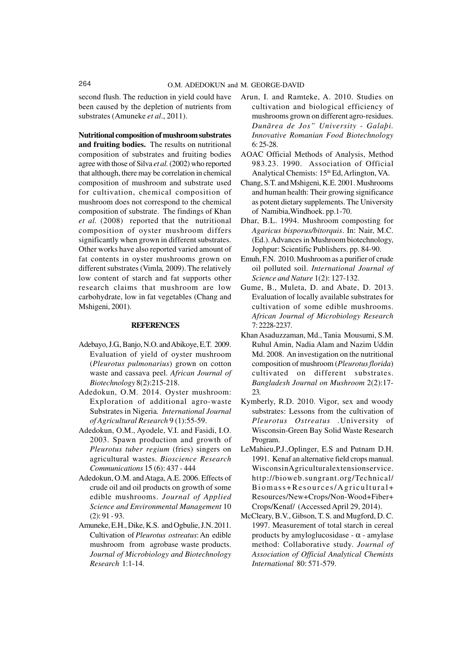second flush. The reduction in yield could have been caused by the depletion of nutrients from substrates (Amuneke *et al*., 2011).

**Nutritional composition of mushroom substrates and fruiting bodies.** The results on nutritional composition of substrates and fruiting bodies agree with those of Silva *et al.* (2002) who reported that although, there may be correlation in chemical composition of mushroom and substrate used for cultivation, chemical composition of mushroom does not correspond to the chemical composition of substrate. The findings of Khan *et al.* (2008) reported that the nutritional composition of oyster mushroom differs significantly when grown in different substrates. Other works have also reported varied amount of fat contents in oyster mushrooms grown on different substrates (Vimla*,* 2009). The relatively low content of starch and fat supports other research claims that mushroom are low carbohydrate, low in fat vegetables (Chang and Mshigeni, 2001).

# **REFERENCES**

- Adebayo, J.G., Banjo, N.O. and Abikoye, E.T. 2009. Evaluation of yield of oyster mushroom (*Pleurotus pulmonarius*) grown on cotton waste and cassava peel. *African Journal of Biotechnology* 8(2):215-218.
- Adedokun, O.M. 2014. Oyster mushroom: Exploration of additional agro-waste Substrates in Nigeria*. International Journal of Agricultural Research* 9 (1):55-59.
- Adedokun, O.M., Ayodele, V.I. and Fasidi, I.O. 2003. Spawn production and growth of *Pleurotus tuber regium* (fries) singers on agricultural wastes. *Bioscience Research Communications* 15 (6): 437 - 444
- Adedokun, O.M. and Ataga, A.E. 2006. Effects of crude oil and oil products on growth of some edible mushrooms. *Journal of Applied Science and Environmental Management* 10 (2): 91 - 93.
- Amuneke, E.H., Dike, K.S. and Ogbulie, J.N. 2011. Cultivation of *Pleurotus ostreatus*: An edible mushroom from agrobase waste products. *Journal of Microbiology and Biotechnology Research* 1:1-14.
- Arun, I. and Ramteke, A. 2010. Studies on cultivation and biological efficiency of mushrooms grown on different agro-residues. *Dunãrea de Jos" University - Galaþi. Innovative Romanian Food Biotechnology* 6: 25-28.
- AOAC Official Methods of Analysis, Method 983.23. 1990. Association of Official Analytical Chemists: 15<sup>th</sup> Ed, Arlington, VA.
- Chang, S.T. and Mshigeni, K.E. 2001. Mushrooms and human health: Their growing significance as potent dietary supplements. The University of Namibia,Windhoek. pp.1-70.
- Dhar, B.L. 1994. Mushroom composting for *Agaricus bisporus/bitorquis*. In: Nair, M.C. (Ed.). Advances in Mushroom biotechnology, Jophpur: Scientific Publishers. pp. 84-90.
- Emuh, F.N. 2010. Mushroom as a purifier of crude oil polluted soil. *International Journal of Science and Nature* 1(2): 127-132.
- Gume, B., Muleta, D. and Abate, D. 2013. Evaluation of locally available substrates for cultivation of some edible mushrooms. *African Journal of Microbiology Research* 7: 2228-2237.
- Khan Asaduzzaman, Md., Tania Mousumi, S.M. Ruhul Amin, Nadia Alam and Nazim Uddin Md. 2008. An investigation on the nutritional composition of mushroom (*Pleurotusflorida*) cultivated on different substrates. *Bangladesh Journal on Mushroom* 2(2):17- 23.
- Kymberly, R.D. 2010. Vigor, sex and woody substrates: Lessons from the cultivation of *Pleurotus Ostreatus .*University of Wisconsin-Green Bay Solid Waste Research Program.
- LeMahieu,P.J.,Oplinger, E.S and Putnam D.H. 1991. Kenaf an alternative field crops manual. WisconsinAgriculturalextensionservice. http://bioweb.sungrant.org/Technical/ Biomass+Resources/Agricultural+ Resources/New+Crops/Non-Wood+Fiber+ Crops/Kenaf/ (Accessed April 29, 2014).
- McCleary, B.V., Gibson, T. S. and Mugford, D. C. 1997. Measurement of total starch in cereal products by amyloglucosidase -  $\alpha$  - amylase method: Collaborative study. *Journal of Association of Official Analytical Chemists International* 80: 571-579.